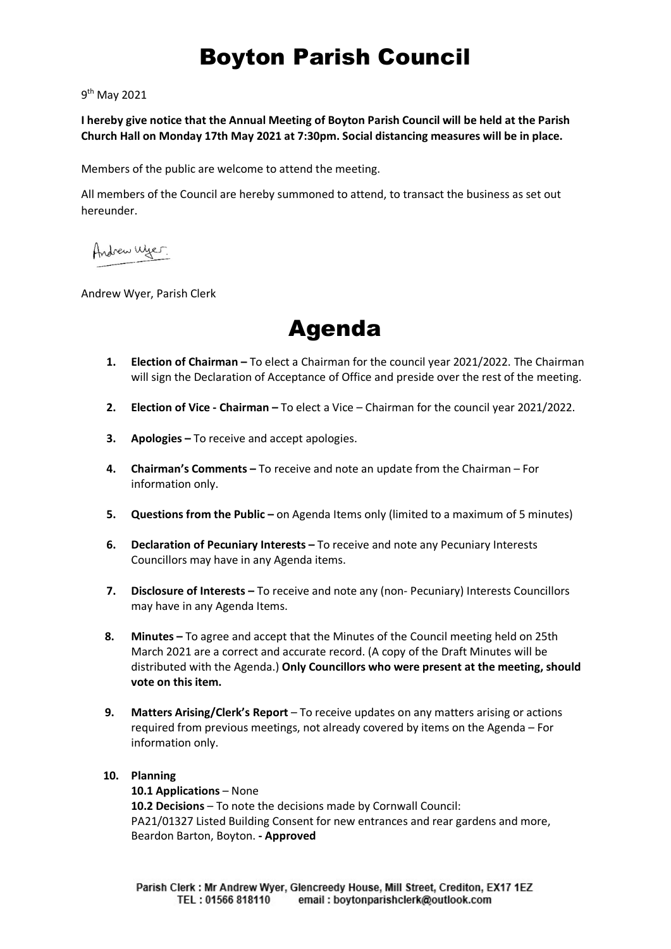## Boyton Parish Council

9<sup>th</sup> May 2021

**I hereby give notice that the Annual Meeting of Boyton Parish Council will be held at the Parish Church Hall on Monday 17th May 2021 at 7:30pm. Social distancing measures will be in place.** 

Members of the public are welcome to attend the meeting.

All members of the Council are hereby summoned to attend, to transact the business as set out hereunder.

Andrew Wyer.

Andrew Wyer, Parish Clerk



- **1. Election of Chairman –** To elect a Chairman for the council year 2021/2022. The Chairman will sign the Declaration of Acceptance of Office and preside over the rest of the meeting.
- **2. Election of Vice Chairman –** To elect a Vice Chairman for the council year 2021/2022.
- **3. Apologies –** To receive and accept apologies.
- **4. Chairman's Comments –** To receive and note an update from the Chairman For information only.
- **5. Questions from the Public –** on Agenda Items only (limited to a maximum of 5 minutes)
- **6. Declaration of Pecuniary Interests –** To receive and note any Pecuniary Interests Councillors may have in any Agenda items.
- **7. Disclosure of Interests –** To receive and note any (non- Pecuniary) Interests Councillors may have in any Agenda Items.
- **8. Minutes –** To agree and accept that the Minutes of the Council meeting held on 25th March 2021 are a correct and accurate record. (A copy of the Draft Minutes will be distributed with the Agenda.) **Only Councillors who were present at the meeting, should vote on this item.**
- **9. Matters Arising/Clerk's Report**  To receive updates on any matters arising or actions required from previous meetings, not already covered by items on the Agenda – For information only.

## **10. Planning**

#### **10.1 Applications** – None

**10.2 Decisions** – To note the decisions made by Cornwall Council: PA21/01327 Listed Building Consent for new entrances and rear gardens and more, Beardon Barton, Boyton. **- Approved**